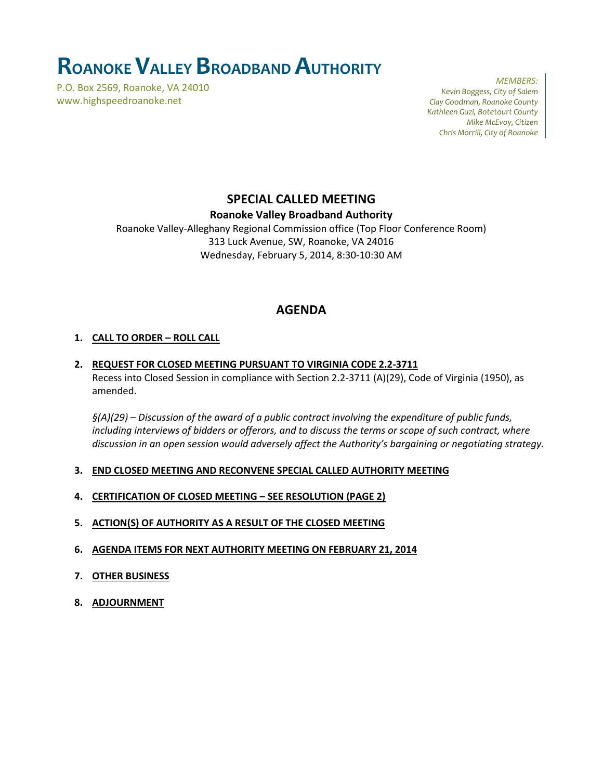# **ROANOKEVALLEY BROADBAND AUTHORITY**

P.O. Box 2569, Roanoke, VA 24010 www.highspeedroanoke.net

*MEMBERS: Kevin Boggess, City of Salem Clay Goodman, Roanoke County Kathleen Guzi, Botetourt County Mike McEvoy, Citizen Chris Morrill, City of Roanoke*

## **SPECIAL CALLED MEETING**

**Roanoke Valley Broadband Authority**

Roanoke Valley-Alleghany Regional Commission office (Top Floor Conference Room) 313 Luck Avenue, SW, Roanoke, VA 24016 Wednesday, February 5, 2014, 8:30-10:30 AM

## **AGENDA**

#### **1. CALL TO ORDER – ROLL CALL**

#### **2. REQUEST FOR CLOSED MEETING PURSUANT TO VIRGINIA CODE 2.2-3711** Recess into Closed Session in compliance with Section 2.2-3711 (A)(29), Code of Virginia (1950), as amended.

*§(A)(29) – Discussion of the award of a public contract involving the expenditure of public funds, including interviews of bidders or offerors, and to discuss the terms or scope of such contract, where discussion in an open session would adversely affect the Authority's bargaining or negotiating strategy.*

- **3. END CLOSED MEETING AND RECONVENE SPECIAL CALLED AUTHORITY MEETING**
- **4. CERTIFICATION OF CLOSED MEETING – SEE RESOLUTION (PAGE 2)**
- **5. ACTION(S) OF AUTHORITY AS A RESULT OF THE CLOSED MEETING**
- **6. AGENDA ITEMS FOR NEXT AUTHORITY MEETING ON FEBRUARY 21, 2014**
- **7. OTHER BUSINESS**
- **8. ADJOURNMENT**